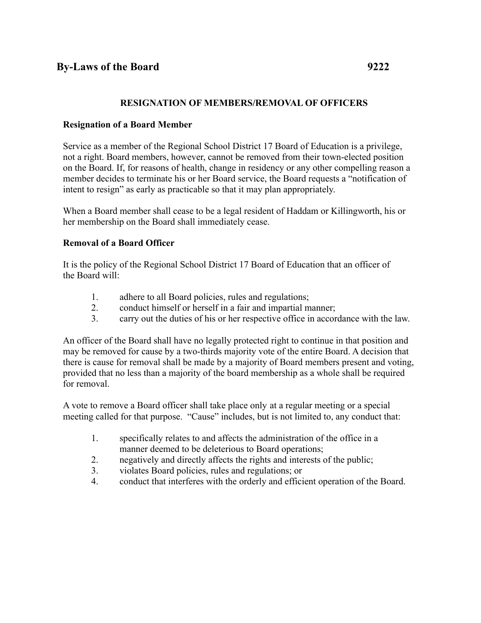## **RESIGNATION OF MEMBERS/REMOVAL OF OFFICERS**

#### **Resignation of a Board Member**

Service as a member of the Regional School District 17 Board of Education is a privilege, not a right. Board members, however, cannot be removed from their town-elected position on the Board. If, for reasons of health, change in residency or any other compelling reason a member decides to terminate his or her Board service, the Board requests a "notification of intent to resign" as early as practicable so that it may plan appropriately.

When a Board member shall cease to be a legal resident of Haddam or Killingworth, his or her membership on the Board shall immediately cease.

## **Removal of a Board Officer**

It is the policy of the Regional School District 17 Board of Education that an officer of the Board will:

- 1. adhere to all Board policies, rules and regulations;
- 2. conduct himself or herself in a fair and impartial manner;
- 3. carry out the duties of his or her respective office in accordance with the law.

An officer of the Board shall have no legally protected right to continue in that position and may be removed for cause by a two-thirds majority vote of the entire Board. A decision that there is cause for removal shall be made by a majority of Board members present and voting, provided that no less than a majority of the board membership as a whole shall be required for removal.

A vote to remove a Board officer shall take place only at a regular meeting or a special meeting called for that purpose. "Cause" includes, but is not limited to, any conduct that:

- 1. specifically relates to and affects the administration of the office in a manner deemed to be deleterious to Board operations;
- 2. negatively and directly affects the rights and interests of the public;
- 3. violates Board policies, rules and regulations; or
- 4. conduct that interferes with the orderly and efficient operation of the Board.